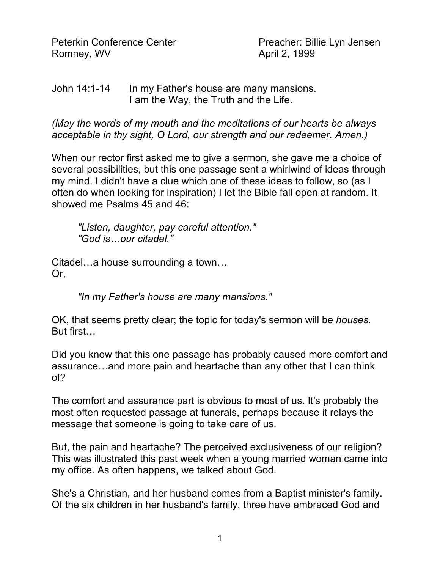Peterkin Conference Center **Preacher: Billie Lyn Jensen** Romney, WV **April 2, 1999** 

## John 14:1-14 In my Father's house are many mansions. I am the Way, the Truth and the Life.

*(May the words of my mouth and the meditations of our hearts be always acceptable in thy sight, O Lord, our strength and our redeemer. Amen.)*

When our rector first asked me to give a sermon, she gave me a choice of several possibilities, but this one passage sent a whirlwind of ideas through my mind. I didn't have a clue which one of these ideas to follow, so (as I often do when looking for inspiration) I let the Bible fall open at random. It showed me Psalms 45 and 46:

*"Listen, daughter, pay careful attention." "God is…our citadel."*

Citadel…a house surrounding a town… Or,

*"In my Father's house are many mansions."*

OK, that seems pretty clear; the topic for today's sermon will be *houses*. But first…

Did you know that this one passage has probably caused more comfort and assurance…and more pain and heartache than any other that I can think of?

The comfort and assurance part is obvious to most of us. It's probably the most often requested passage at funerals, perhaps because it relays the message that someone is going to take care of us.

But, the pain and heartache? The perceived exclusiveness of our religion? This was illustrated this past week when a young married woman came into my office. As often happens, we talked about God.

She's a Christian, and her husband comes from a Baptist minister's family. Of the six children in her husband's family, three have embraced God and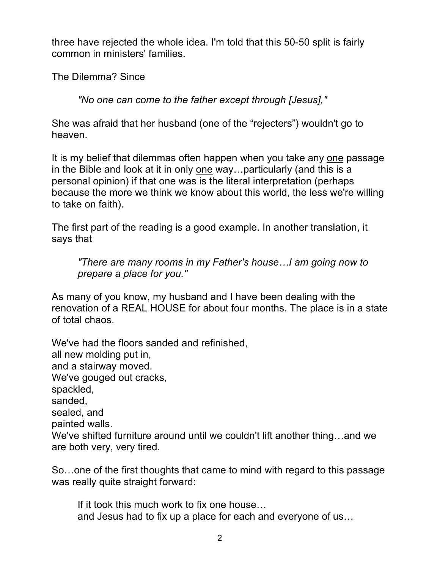three have rejected the whole idea. I'm told that this 50-50 split is fairly common in ministers' families.

The Dilemma? Since

*"No one can come to the father except through [Jesus],"*

She was afraid that her husband (one of the "rejecters") wouldn't go to heaven.

It is my belief that dilemmas often happen when you take any one passage in the Bible and look at it in only one way…particularly (and this is a personal opinion) if that one was is the literal interpretation (perhaps because the more we think we know about this world, the less we're willing to take on faith).

The first part of the reading is a good example. In another translation, it says that

*"There are many rooms in my Father's house…I am going now to prepare a place for you."*

As many of you know, my husband and I have been dealing with the renovation of a REAL HOUSE for about four months. The place is in a state of total chaos.

We've had the floors sanded and refinished, all new molding put in, and a stairway moved. We've gouged out cracks, spackled, sanded, sealed, and painted walls. We've shifted furniture around until we couldn't lift another thing…and we are both very, very tired.

So…one of the first thoughts that came to mind with regard to this passage was really quite straight forward:

If it took this much work to fix one house… and Jesus had to fix up a place for each and everyone of us…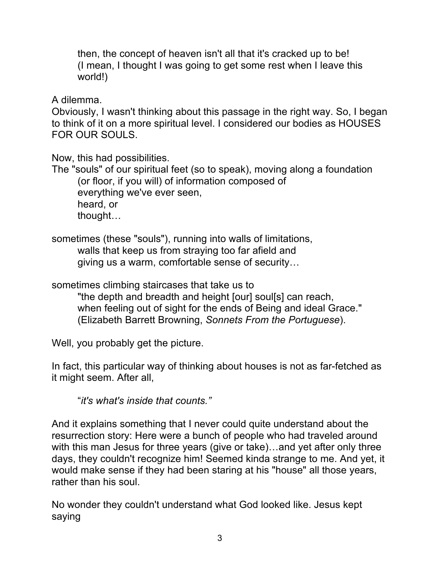then, the concept of heaven isn't all that it's cracked up to be! (I mean, I thought I was going to get some rest when I leave this world!)

A dilemma.

Obviously, I wasn't thinking about this passage in the right way. So, I began to think of it on a more spiritual level. I considered our bodies as HOUSES FOR OUR SOULS.

Now, this had possibilities.

The "souls" of our spiritual feet (so to speak), moving along a foundation (or floor, if you will) of information composed of everything we've ever seen, heard, or thought…

sometimes (these "souls"), running into walls of limitations, walls that keep us from straying too far afield and giving us a warm, comfortable sense of security…

sometimes climbing staircases that take us to

"the depth and breadth and height [our] soul[s] can reach, when feeling out of sight for the ends of Being and ideal Grace." (Elizabeth Barrett Browning, *Sonnets From the Portuguese*).

Well, you probably get the picture.

In fact, this particular way of thinking about houses is not as far-fetched as it might seem. After all,

"*it's what's inside that counts."*

And it explains something that I never could quite understand about the resurrection story: Here were a bunch of people who had traveled around with this man Jesus for three years (give or take)…and yet after only three days, they couldn't recognize him! Seemed kinda strange to me. And yet, it would make sense if they had been staring at his "house" all those years, rather than his soul.

No wonder they couldn't understand what God looked like. Jesus kept saying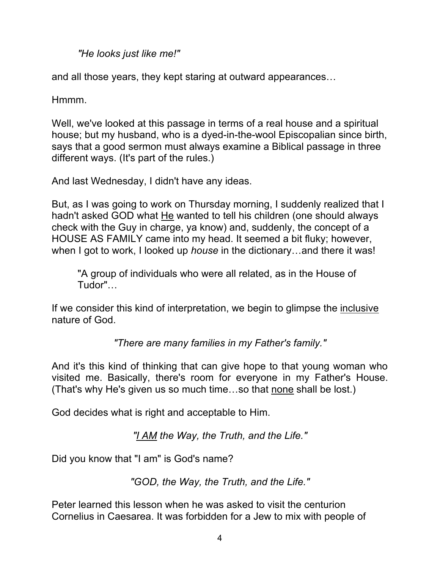*"He looks just like me!"*

and all those years, they kept staring at outward appearances…

Hmmm.

Well, we've looked at this passage in terms of a real house and a spiritual house; but my husband, who is a dyed-in-the-wool Episcopalian since birth, says that a good sermon must always examine a Biblical passage in three different ways. (It's part of the rules.)

And last Wednesday, I didn't have any ideas.

But, as I was going to work on Thursday morning, I suddenly realized that I hadn't asked GOD what He wanted to tell his children (one should always check with the Guy in charge, ya know) and, suddenly, the concept of a HOUSE AS FAMILY came into my head. It seemed a bit fluky; however, when I got to work, I looked up *house* in the dictionary…and there it was!

"A group of individuals who were all related, as in the House of Tudor"…

If we consider this kind of interpretation, we begin to glimpse the inclusive nature of God.

*"There are many families in my Father's family."*

And it's this kind of thinking that can give hope to that young woman who visited me. Basically, there's room for everyone in my Father's House. (That's why He's given us so much time…so that none shall be lost.)

God decides what is right and acceptable to Him.

*"I AM the Way, the Truth, and the Life."*

Did you know that "I am" is God's name?

*"GOD, the Way, the Truth, and the Life."*

Peter learned this lesson when he was asked to visit the centurion Cornelius in Caesarea. It was forbidden for a Jew to mix with people of